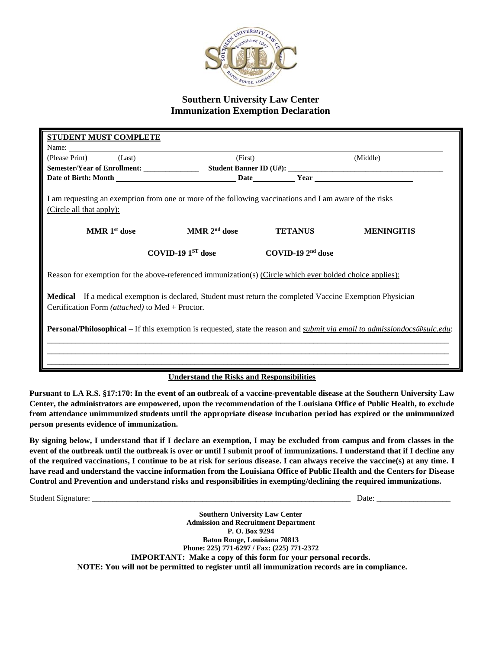

## **Southern University Law Center Immunization Exemption Declaration**

| <b>STUDENT MUST COMPLETE</b>                                                                                                                                   |                              |                     |                   |  |  |  |
|----------------------------------------------------------------------------------------------------------------------------------------------------------------|------------------------------|---------------------|-------------------|--|--|--|
| Name:                                                                                                                                                          |                              |                     |                   |  |  |  |
| (Last)<br>(Please Print)                                                                                                                                       | (First)                      |                     | (Middle)          |  |  |  |
|                                                                                                                                                                |                              |                     |                   |  |  |  |
|                                                                                                                                                                |                              |                     |                   |  |  |  |
| I am requesting an exemption from one or more of the following vaccinations and I am aware of the risks<br>(Circle all that apply):                            |                              |                     |                   |  |  |  |
| MMR 1 <sup>st</sup> dose                                                                                                                                       | MMR $2nd$ dose               | <b>TETANUS</b>      | <b>MENINGITIS</b> |  |  |  |
|                                                                                                                                                                | $\rm COVID-19\ 1^{ST}\,dose$ | COVID-19 $2nd$ dose |                   |  |  |  |
|                                                                                                                                                                |                              |                     |                   |  |  |  |
| Reason for exemption for the above-referenced immunization(s) (Circle which ever bolded choice applies):                                                       |                              |                     |                   |  |  |  |
| Medical – If a medical exemption is declared, Student must return the completed Vaccine Exemption Physician<br>Certification Form (attached) to Med + Proctor. |                              |                     |                   |  |  |  |
| Personal/Philosophical – If this exemption is requested, state the reason and <i>submit via email to admissiondocs@sulc.edu</i> :                              |                              |                     |                   |  |  |  |
|                                                                                                                                                                |                              |                     |                   |  |  |  |
| $\mathbf{r}$ , in $\mathbf{r}$ , in<br>                                                                                                                        |                              |                     |                   |  |  |  |

## **Understand the Risks and Responsibilities**

**Pursuant to LA R.S. §17:170: In the event of an outbreak of a vaccine-preventable disease at the Southern University Law Center, the administrators are empowered, upon the recommendation of the Louisiana Office of Public Health, to exclude from attendance unimmunized students until the appropriate disease incubation period has expired or the unimmunized person presents evidence of immunization.**

**By signing below, I understand that if I declare an exemption, I may be excluded from campus and from classes in the event of the outbreak until the outbreak is over or until I submit proof of immunizations. I understand that if I decline any of the required vaccinations, I continue to be at risk for serious disease. I can always receive the vaccine(s) at any time. I have read and understand the vaccine information from the Louisiana Office of Public Health and the Centers for Disease Control and Prevention and understand risks and responsibilities in exempting/declining the required immunizations.**

Student Signature: \_\_\_\_\_\_\_\_\_\_\_\_\_\_\_\_\_\_\_\_\_\_\_\_\_\_\_\_\_\_\_\_\_\_\_\_\_\_\_\_\_\_\_\_\_\_\_\_\_\_\_\_\_\_\_\_\_\_\_\_\_\_\_ Date: \_\_\_\_\_\_\_\_\_\_\_\_\_\_\_\_\_\_

**Southern University Law Center Admission and Recruitment Department P. O. Box 9294 Baton Rouge, Louisiana 70813 Phone: 225) 771-6297 / Fax: (225) 771-2372 IMPORTANT: Make a copy of this form for your personal records. NOTE: You will not be permitted to register until all immunization records are in compliance.**